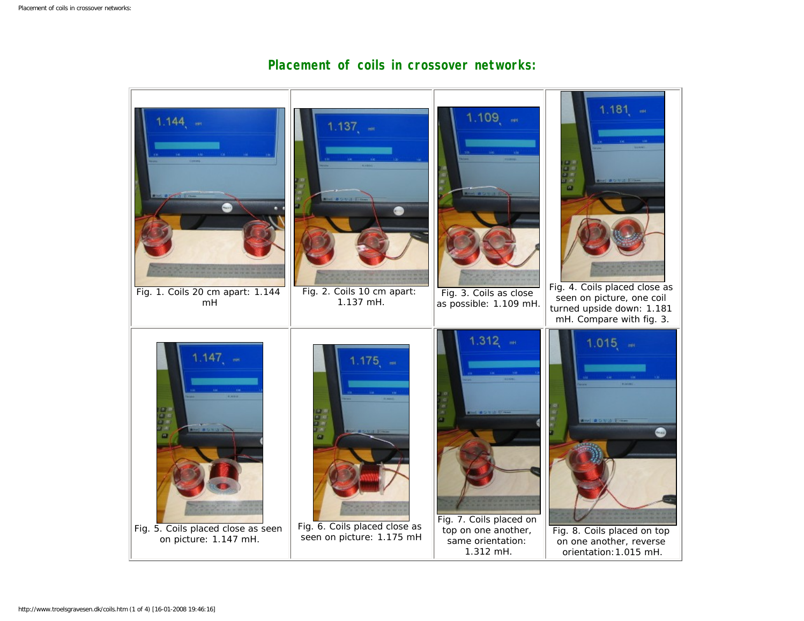

## **Placement of coils in crossover networks:**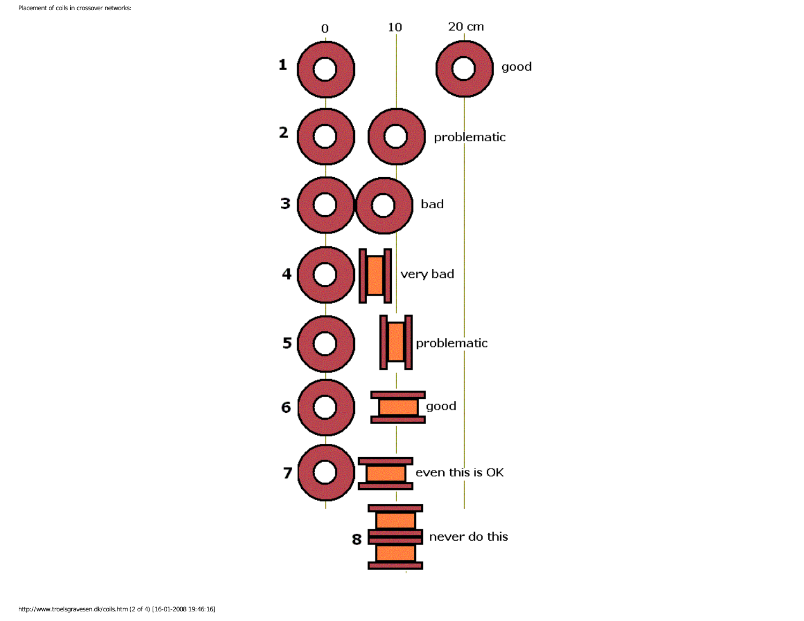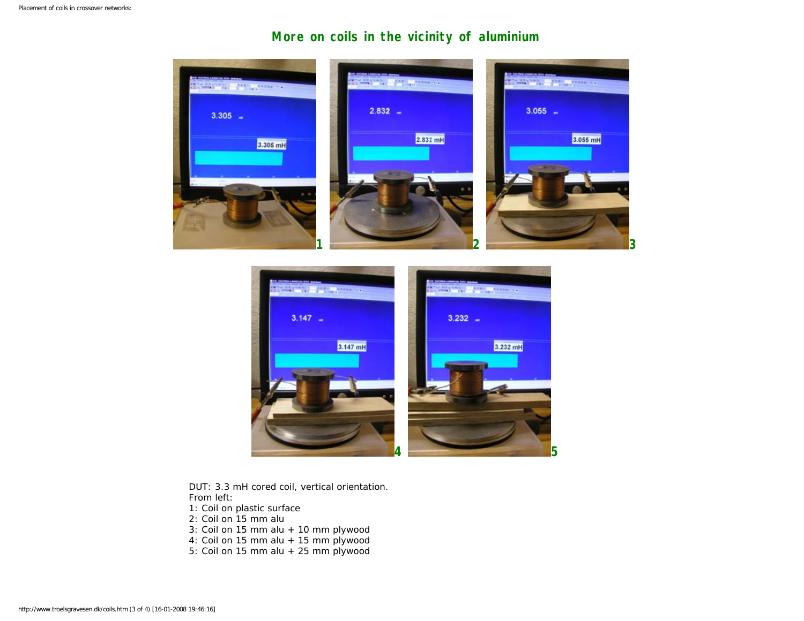## **More on coils in the vicinity of aluminium**



**4** 5

DUT: 3.3 mH cored coil, vertical orientation. From left:

- 1: Coil on plastic surface
- 2: Coil on 15 mm alu
- 3: Coil on 15 mm alu + 10 mm plywood
- 4: Coil on 15 mm alu + 15 mm plywood
- 5: Coil on 15 mm alu + 25 mm plywood